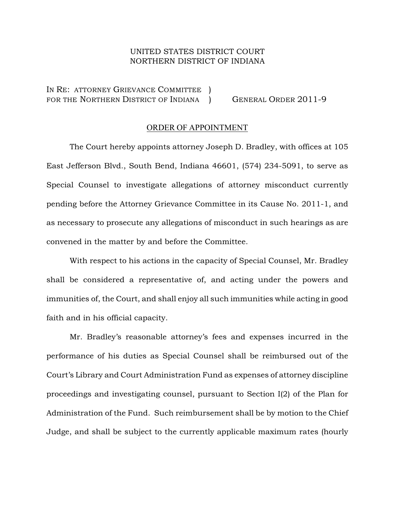## UNITED STATES DISTRICT COURT NORTHERN DISTRICT OF INDIANA

IN RE: ATTORNEY GRIEVANCE COMMITTEE ) FOR THE NORTHERN DISTRICT OF INDIANA ) GENERAL ORDER 2011-9

## ORDER OF APPOINTMENT

The Court hereby appoints attorney Joseph D. Bradley, with offices at 105 East Jefferson Blvd., South Bend, Indiana 46601, (574) 234-5091, to serve as Special Counsel to investigate allegations of attorney misconduct currently pending before the Attorney Grievance Committee in its Cause No. 2011-1, and as necessary to prosecute any allegations of misconduct in such hearings as are convened in the matter by and before the Committee.

With respect to his actions in the capacity of Special Counsel, Mr. Bradley shall be considered a representative of, and acting under the powers and immunities of, the Court, and shall enjoy all such immunities while acting in good faith and in his official capacity.

Mr. Bradley's reasonable attorney's fees and expenses incurred in the performance of his duties as Special Counsel shall be reimbursed out of the Court's Library and Court Administration Fund as expenses of attorney discipline proceedings and investigating counsel, pursuant to Section I(2) of the Plan for Administration of the Fund. Such reimbursement shall be by motion to the Chief Judge, and shall be subject to the currently applicable maximum rates (hourly